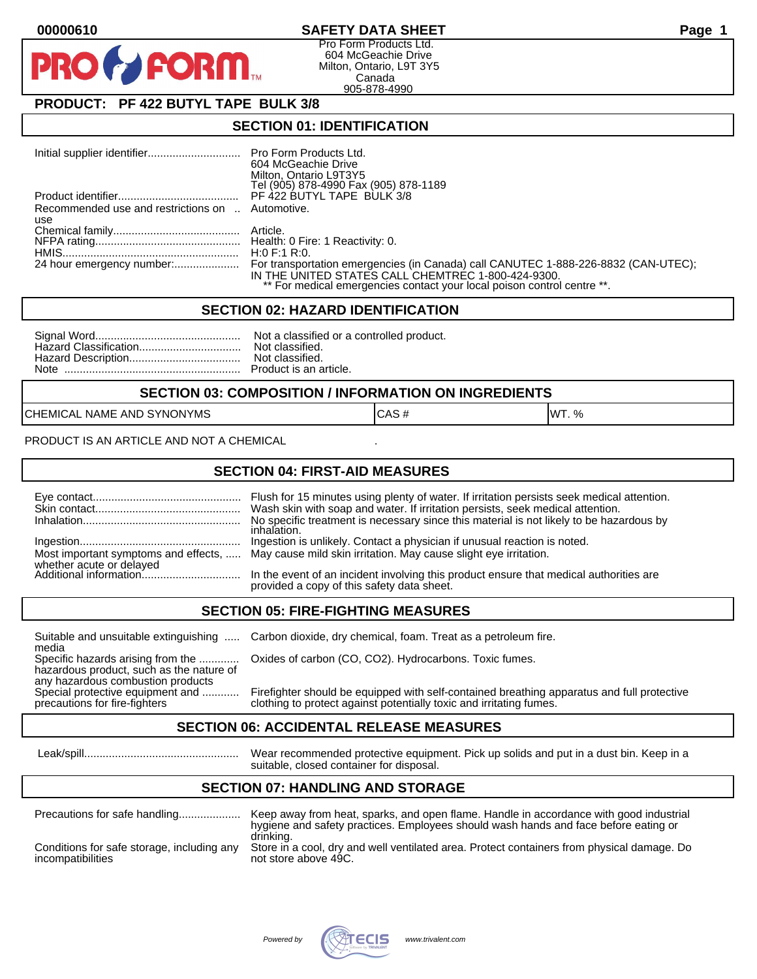## **00000610 SAFETY DATA SHEET Page 1**

Pro Form Products Ltd. 604 McGeachie Drive Milton, Ontario, L9T 3Y5 Canada 905-878-4990

# **PRODUCT: PF 422 BUTYL TAPE BULK 3/8**

**FORM** 

### **SECTION 01: IDENTIFICATION**

|                                                  | 604 McGeachie Drive<br>Milton, Ontario L9T3Y5<br>Tel (905) 878-4990 Fax (905) 878-1189                                        |
|--------------------------------------------------|-------------------------------------------------------------------------------------------------------------------------------|
|                                                  |                                                                                                                               |
| Recommended use and restrictions on  Automotive. |                                                                                                                               |
| use                                              |                                                                                                                               |
|                                                  |                                                                                                                               |
|                                                  |                                                                                                                               |
|                                                  |                                                                                                                               |
|                                                  | IN THE UNITED STATES CALL CHEMTREC 1-800-424-9300.<br>** For medical emergencies contact your local poison control centre **. |

#### **SECTION 02: HAZARD IDENTIFICATION**

#### **SECTION 03: COMPOSITION / INFORMATION ON INGREDIENTS**

CHEMICAL NAME AND SYNONYMS CASE CAS # CAS # WT. %

PRODUCT IS AN ARTICLE AND NOT A CHEMICAL

#### **SECTION 04: FIRST-AID MEASURES**

|                          | Flush for 15 minutes using plenty of water. If irritation persists seek medical attention.<br>Wash skin with soap and water. If irritation persists, seek medical attention.<br>No specific treatment is necessary since this material is not likely to be hazardous by<br>inhalation. |
|--------------------------|----------------------------------------------------------------------------------------------------------------------------------------------------------------------------------------------------------------------------------------------------------------------------------------|
|                          | Ingestion is unlikely. Contact a physician if unusual reaction is noted.<br>Most important symptoms and effects,  May cause mild skin irritation. May cause slight eye irritation.                                                                                                     |
| whether acute or delayed | In the event of an incident involving this product ensure that medical authorities are<br>provided a copy of this safety data sheet.                                                                                                                                                   |

#### **SECTION 05: FIRE-FIGHTING MEASURES**

media<br>Specific hazards arising from the .............

hazardous product, such as the nature of any hazardous combustion products<br>Special protective equipment and ............

Suitable and unsuitable extinguishing ..... Carbon dioxide, dry chemical, foam. Treat as a petroleum fire.

Oxides of carbon (CO, CO2). Hydrocarbons. Toxic fumes.

Special protective equipment and ............ Firefighter should be equipped with self-contained breathing apparatus and full protective<br>precautions for fire-fighters on the clothing to protect against potentially toxic an clothing to protect against potentially toxic and irritating fumes.

#### **SECTION 06: ACCIDENTAL RELEASE MEASURES**

 Leak/spill.................................................. Wear recommended protective equipment. Pick up solids and put in a dust bin. Keep in a suitable, closed container for disposal.

# **SECTION 07: HANDLING AND STORAGE**

| Precautions for safe handling                                   | Keep away from heat, sparks, and open flame. Handle in accordance with good industrial<br>hygiene and safety practices. Employees should wash hands and face before eating or |
|-----------------------------------------------------------------|-------------------------------------------------------------------------------------------------------------------------------------------------------------------------------|
| Conditions for safe storage, including any<br>incompatibilities | drinking.<br>Store in a cool, dry and well ventilated area. Protect containers from physical damage. Do<br>not store above 49C.                                               |

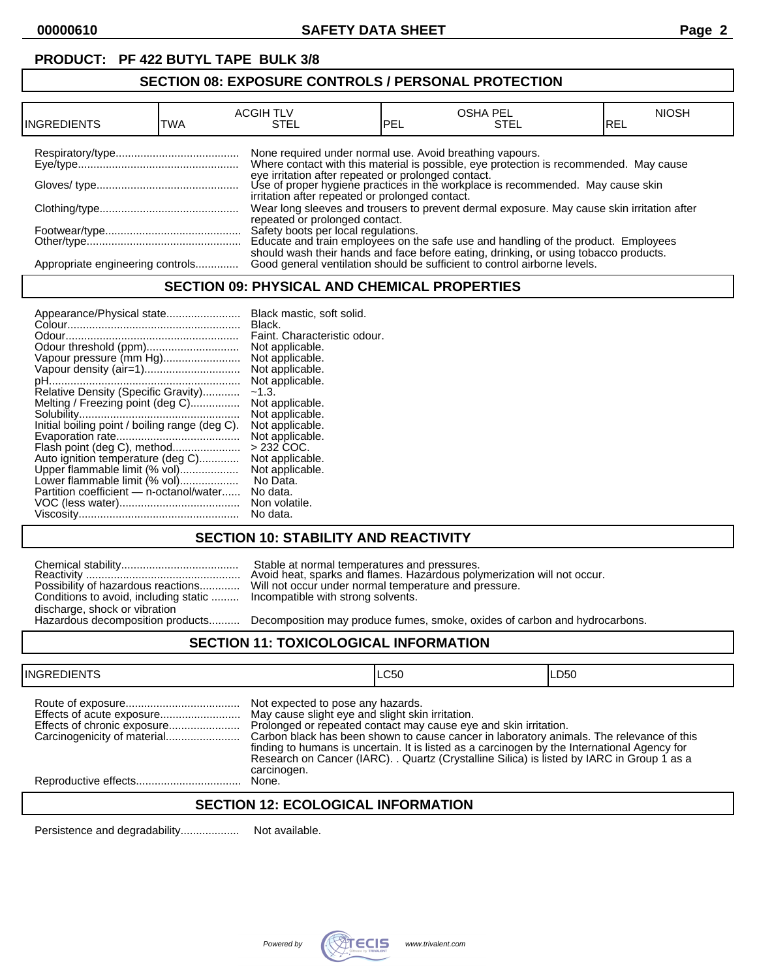# **PRODUCT: PF 422 BUTYL TAPE BULK 3/8**

## **SECTION 08: EXPOSURE CONTROLS / PERSONAL PROTECTION**

| INGREDIENTS                      | TWA | <b>ACGIH TLV</b><br>STEL                                 | PEL | <b>OSHA PEL</b><br>STEL                                                                                                                                                                                                          | <b>NIOSH</b><br>IREL |
|----------------------------------|-----|----------------------------------------------------------|-----|----------------------------------------------------------------------------------------------------------------------------------------------------------------------------------------------------------------------------------|----------------------|
|                                  |     | None required under normal use. Avoid breathing vapours. |     | Where contact with this material is possible, eye protection is recommended. May cause<br>eye irritation after repeated or prolonged contact.<br>Use of proper hygiene practices in the workplace is recommended. May cause skin |                      |
|                                  |     | irritation after repeated or prolonged contact.          |     |                                                                                                                                                                                                                                  |                      |
|                                  |     | repeated or prolonged contact.                           |     | Wear long sleeves and trousers to prevent dermal exposure. May cause skin irritation after                                                                                                                                       |                      |
|                                  |     |                                                          |     | Safety boots per local regulations.<br>Educate and train employees on the safe use and handling of the product. Employees                                                                                                        |                      |
| Appropriate engineering controls |     |                                                          |     | should wash their hands and face before eating, drinking, or using tobacco products.<br>Good general ventilation should be sufficient to control airborne levels.                                                                |                      |

### **SECTION 09: PHYSICAL AND CHEMICAL PROPERTIES**

| Appearance/Physical state                      | Black mastic, soft solid.    |
|------------------------------------------------|------------------------------|
|                                                | Black.                       |
|                                                | Faint. Characteristic odour. |
| Odour threshold (ppm)                          | Not applicable.              |
| Vapour pressure (mm Hg)                        | Not applicable.              |
| Vapour density (air=1)                         | Not applicable.              |
|                                                | Not applicable.              |
| Relative Density (Specific Gravity)            | $-1.3.$                      |
| Melting / Freezing point (deg C)               | Not applicable.              |
|                                                | Not applicable.              |
| Initial boiling point / boiling range (deg C). | Not applicable.              |
|                                                | Not applicable.              |
| Flash point (deg C), method                    | $>232$ COC.                  |
| Auto ignition temperature (deg C)              | Not applicable.              |
| Upper flammable limit (% vol)                  | Not applicable.              |
| Lower flammable limit (% vol)                  | No Data.                     |
| Partition coefficient - n-octanol/water        | No data.                     |
|                                                | Non volatile.                |
|                                                | No data.                     |

# **SECTION 10: STABILITY AND REACTIVITY**

|                                                                           | Stable at normal temperatures and pressures.<br>Avoid heat, sparks and flames. Hazardous poly |
|---------------------------------------------------------------------------|-----------------------------------------------------------------------------------------------|
|                                                                           | Possibility of hazardous reactions Will not occur under normal temperature and pr             |
| Conditions to avoid, including static  Incompatible with strong solvents. |                                                                                               |
| discharge, shock or vibration                                             |                                                                                               |
|                                                                           | Hazardous decomposition products Decomposition may produce fumes. smoke. oxi                  |

Reactivity .................................................. Avoid heat, sparks and flames. Hazardous polymerization will not occur. Possibility of hazardous reactions............. Will not occur under normal temperature and pressure. Incompatible with strong solvents.

Decomposition may produce fumes, smoke, oxides of carbon and hydrocarbons.

#### **SECTION 11: TOXICOLOGICAL INFORMATION**

| <b>INGREDIENTS</b>          |                                                                                                      | LC50                                                                                                                                                                                                                                                                                                                                                       | LD50 |
|-----------------------------|------------------------------------------------------------------------------------------------------|------------------------------------------------------------------------------------------------------------------------------------------------------------------------------------------------------------------------------------------------------------------------------------------------------------------------------------------------------------|------|
| Effects of chronic exposure | Not expected to pose any hazards.<br>May cause slight eye and slight skin irritation.<br>carcinogen. | Prolonged or repeated contact may cause eye and skin irritation.<br>Carbon black has been shown to cause cancer in laboratory animals. The relevance of this<br>finding to humans is uncertain. It is listed as a carcinogen by the International Agency for<br>Research on Cancer (IARC). . Quartz (Crystalline Silica) is listed by IARC in Group 1 as a |      |
|                             | None.                                                                                                |                                                                                                                                                                                                                                                                                                                                                            |      |
|                             |                                                                                                      |                                                                                                                                                                                                                                                                                                                                                            |      |

#### **SECTION 12: ECOLOGICAL INFORMATION**

Persistence and degradability................... Not available.